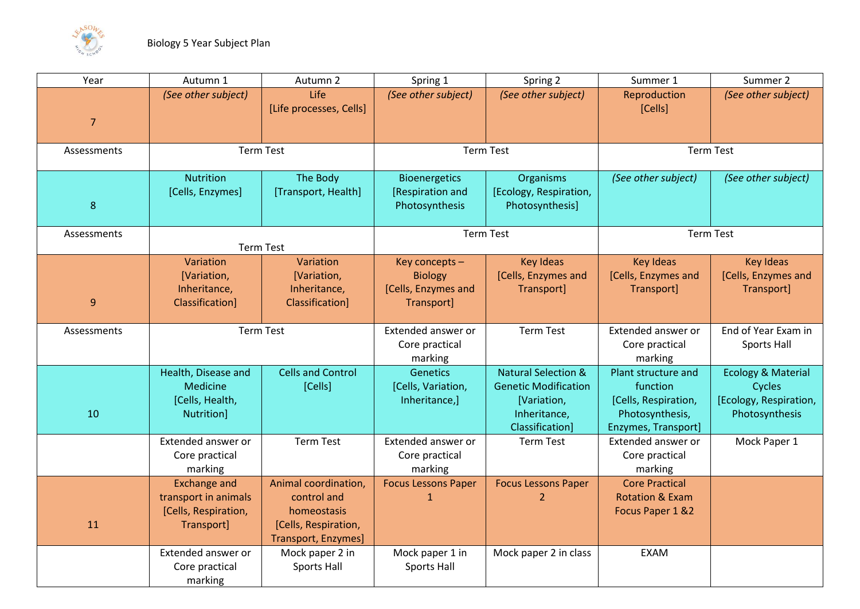

| Year             | Autumn 1                                                                          | Autumn 2                                                                                          | Spring 1                                                              | Spring 2                                                                                                        | Summer 1                                                                                          | Summer 2                                                                            |
|------------------|-----------------------------------------------------------------------------------|---------------------------------------------------------------------------------------------------|-----------------------------------------------------------------------|-----------------------------------------------------------------------------------------------------------------|---------------------------------------------------------------------------------------------------|-------------------------------------------------------------------------------------|
| $\overline{7}$   | (See other subject)                                                               | Life<br>[Life processes, Cells]                                                                   | (See other subject)                                                   | (See other subject)                                                                                             | Reproduction<br>[Cells]                                                                           | (See other subject)                                                                 |
| Assessments      | <b>Term Test</b>                                                                  |                                                                                                   | <b>Term Test</b>                                                      |                                                                                                                 | <b>Term Test</b>                                                                                  |                                                                                     |
| $\boldsymbol{8}$ | <b>Nutrition</b><br>[Cells, Enzymes]                                              | The Body<br>[Transport, Health]                                                                   | <b>Bioenergetics</b><br>[Respiration and<br>Photosynthesis            | Organisms<br>[Ecology, Respiration,<br>Photosynthesis]                                                          | (See other subject)                                                                               | (See other subject)                                                                 |
| Assessments      | <b>Term Test</b>                                                                  |                                                                                                   | <b>Term Test</b>                                                      |                                                                                                                 | <b>Term Test</b>                                                                                  |                                                                                     |
| 9                | Variation<br>[Variation,<br>Inheritance,<br>Classification]                       | Variation<br>[Variation,<br>Inheritance,<br>Classification]                                       | Key concepts -<br><b>Biology</b><br>[Cells, Enzymes and<br>Transport] | <b>Key Ideas</b><br>[Cells, Enzymes and<br>Transport]                                                           | <b>Key Ideas</b><br>[Cells, Enzymes and<br>Transport]                                             | <b>Key Ideas</b><br>[Cells, Enzymes and<br>Transport]                               |
| Assessments      | <b>Term Test</b>                                                                  |                                                                                                   | Extended answer or<br>Core practical<br>marking                       | <b>Term Test</b>                                                                                                | Extended answer or<br>Core practical<br>marking                                                   | End of Year Exam in<br><b>Sports Hall</b>                                           |
| 10               | Health, Disease and<br>Medicine<br>[Cells, Health,<br>Nutrition]                  | <b>Cells and Control</b><br>[Cells]                                                               | <b>Genetics</b><br>[Cells, Variation,<br>Inheritance,]                | <b>Natural Selection &amp;</b><br><b>Genetic Modification</b><br>[Variation,<br>Inheritance,<br>Classification] | Plant structure and<br>function<br>[Cells, Respiration,<br>Photosynthesis,<br>Enzymes, Transport] | <b>Ecology &amp; Material</b><br>Cycles<br>[Ecology, Respiration,<br>Photosynthesis |
|                  | Extended answer or<br>Core practical<br>marking                                   | <b>Term Test</b>                                                                                  | Extended answer or<br>Core practical<br>marking                       | <b>Term Test</b>                                                                                                | Extended answer or<br>Core practical<br>marking                                                   | Mock Paper 1                                                                        |
| 11               | <b>Exchange and</b><br>transport in animals<br>[Cells, Respiration,<br>Transport] | Animal coordination,<br>control and<br>homeostasis<br>[Cells, Respiration,<br>Transport, Enzymes] | <b>Focus Lessons Paper</b><br>$\mathbf 1$                             | <b>Focus Lessons Paper</b><br>$\overline{2}$                                                                    | <b>Core Practical</b><br><b>Rotation &amp; Exam</b><br>Focus Paper 1 &2                           |                                                                                     |
|                  | Extended answer or<br>Core practical<br>marking                                   | Mock paper 2 in<br><b>Sports Hall</b>                                                             | Mock paper 1 in<br><b>Sports Hall</b>                                 | Mock paper 2 in class                                                                                           | <b>EXAM</b>                                                                                       |                                                                                     |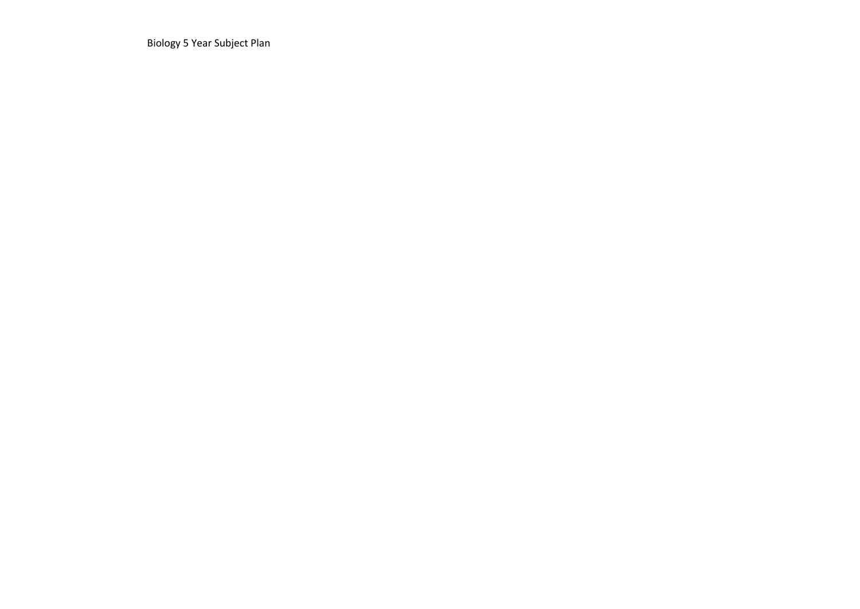Biology 5 Year Subject Plan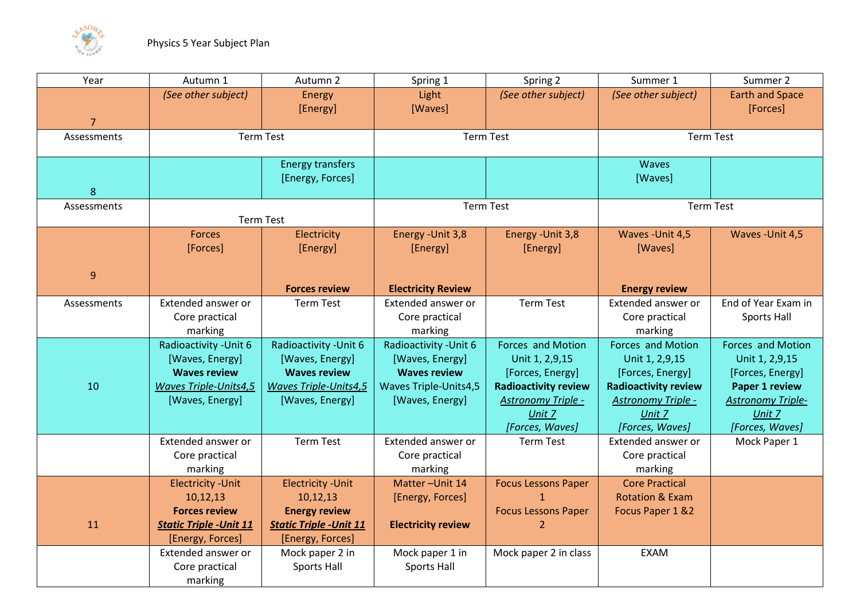

| Year        | Autumn 1                       | Autumn 2                       | Spring 1                     | Spring 2                    | Summer 1                    | Summer 2                 |
|-------------|--------------------------------|--------------------------------|------------------------------|-----------------------------|-----------------------------|--------------------------|
|             | (See other subject)            | Energy                         | Light                        | (See other subject)         | (See other subject)         | <b>Earth and Space</b>   |
|             |                                | [Energy]                       | [Waves]                      |                             |                             | [Forces]                 |
| 7           |                                |                                |                              |                             |                             |                          |
| Assessments |                                | <b>Term Test</b>               |                              | <b>Term Test</b>            |                             | <b>Term Test</b>         |
|             |                                |                                |                              |                             |                             |                          |
|             |                                | <b>Energy transfers</b>        |                              |                             | <b>Waves</b>                |                          |
|             |                                | [Energy, Forces]               |                              |                             | [Waves]                     |                          |
| 8           |                                |                                |                              |                             |                             |                          |
| Assessments |                                |                                | <b>Term Test</b>             |                             | <b>Term Test</b>            |                          |
|             |                                | <b>Term Test</b>               |                              |                             |                             |                          |
|             | <b>Forces</b>                  | Electricity                    | Energy - Unit 3,8            | Energy - Unit 3,8           | Waves - Unit 4,5            | Waves - Unit 4,5         |
|             | [Forces]                       | [Energy]                       | [Energy]                     | [Energy]                    | [Waves]                     |                          |
|             |                                |                                |                              |                             |                             |                          |
| 9           |                                |                                |                              |                             |                             |                          |
|             |                                | <b>Forces review</b>           | <b>Electricity Review</b>    |                             | <b>Energy review</b>        |                          |
| Assessments | Extended answer or             | <b>Term Test</b>               | Extended answer or           | <b>Term Test</b>            | Extended answer or          | End of Year Exam in      |
|             | Core practical                 |                                | Core practical               |                             | Core practical              | Sports Hall              |
|             | marking                        |                                | marking                      |                             | marking                     |                          |
|             | Radioactivity - Unit 6         | Radioactivity - Unit 6         | Radioactivity - Unit 6       | Forces and Motion           | Forces and Motion           | Forces and Motion        |
|             | [Waves, Energy]                | [Waves, Energy]                | [Waves, Energy]              | Unit 1, 2,9,15              | Unit 1, 2,9,15              | Unit 1, 2,9,15           |
|             | <b>Waves review</b>            | <b>Waves review</b>            | <b>Waves review</b>          | [Forces, Energy]            | [Forces, Energy]            | [Forces, Energy]         |
| 10          | <b>Waves Triple-Units4,5</b>   | <b>Waves Triple-Units4,5</b>   | <b>Waves Triple-Units4,5</b> | <b>Radioactivity review</b> | <b>Radioactivity review</b> | <b>Paper 1 review</b>    |
|             | [Waves, Energy]                | [Waves, Energy]                | [Waves, Energy]              | Astronomy Triple -          | Astronomy Triple -          | <b>Astronomy Triple-</b> |
|             |                                |                                |                              | Unit 7                      | Unit 7                      | Unit 7                   |
|             |                                |                                |                              | [Forces, Waves]             | [Forces, Waves]             | [Forces, Waves]          |
|             | Extended answer or             | <b>Term Test</b>               | Extended answer or           | <b>Term Test</b>            | Extended answer or          | Mock Paper 1             |
|             | Core practical                 |                                | Core practical               |                             | Core practical              |                          |
|             | marking                        |                                | marking                      |                             | marking                     |                          |
|             | <b>Electricity - Unit</b>      | <b>Electricity - Unit</b>      | Matter-Unit 14               | <b>Focus Lessons Paper</b>  | <b>Core Practical</b>       |                          |
|             | 10,12,13                       | 10,12,13                       | [Energy, Forces]             | $\mathbf{1}$                | <b>Rotation &amp; Exam</b>  |                          |
|             | <b>Forces review</b>           | <b>Energy review</b>           |                              | <b>Focus Lessons Paper</b>  | Focus Paper 1 &2            |                          |
| 11          | <b>Static Triple - Unit 11</b> | <b>Static Triple - Unit 11</b> | <b>Electricity review</b>    | $\overline{2}$              |                             |                          |
|             | [Energy, Forces]               | [Energy, Forces]               |                              |                             |                             |                          |
|             | Extended answer or             | Mock paper 2 in                | Mock paper 1 in              | Mock paper 2 in class       | <b>EXAM</b>                 |                          |
|             | Core practical                 | Sports Hall                    | <b>Sports Hall</b>           |                             |                             |                          |
|             | marking                        |                                |                              |                             |                             |                          |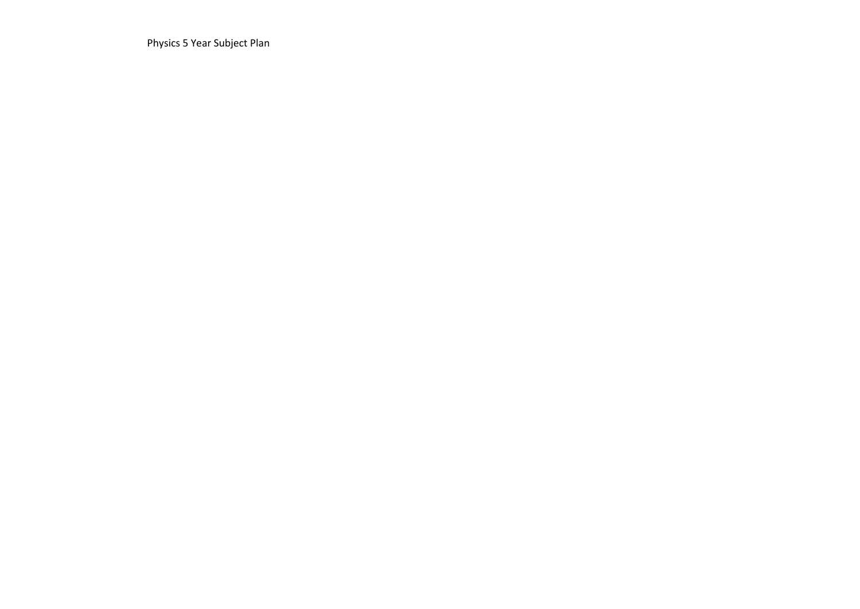Physics 5 Year Subject Plan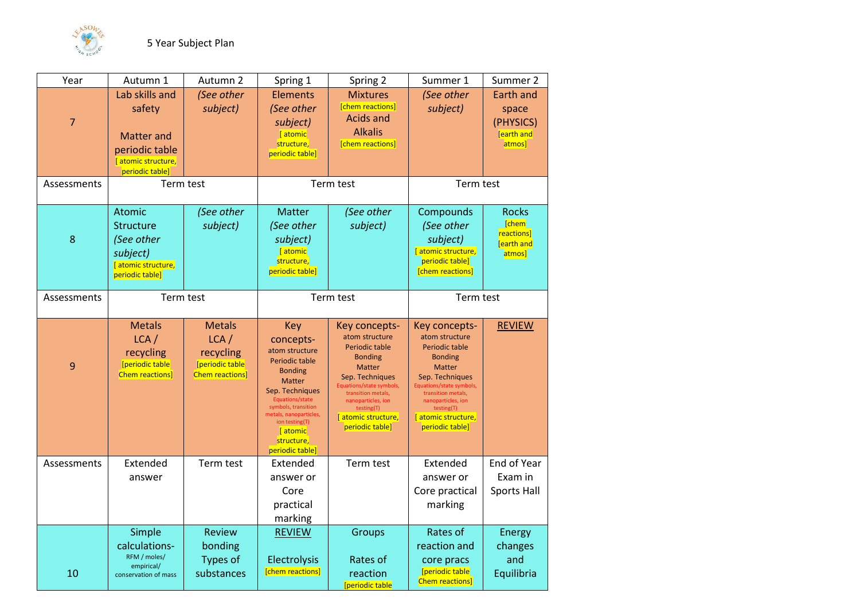

| Year           | Autumn 1                                                                                                | Autumn 2                                                                                  | Spring 1                                                                                                                                                                                                                                             | Spring 2                                                                                                                                                                                                                              | Summer 1                                                                                                                                                                                                                                     | Summer 2                                                              |
|----------------|---------------------------------------------------------------------------------------------------------|-------------------------------------------------------------------------------------------|------------------------------------------------------------------------------------------------------------------------------------------------------------------------------------------------------------------------------------------------------|---------------------------------------------------------------------------------------------------------------------------------------------------------------------------------------------------------------------------------------|----------------------------------------------------------------------------------------------------------------------------------------------------------------------------------------------------------------------------------------------|-----------------------------------------------------------------------|
| $\overline{7}$ | Lab skills and<br>safety<br><b>Matter and</b><br>periodic table<br>atomic structure,<br>periodic table] | (See other<br>subject)                                                                    | <b>Elements</b><br>(See other<br>subject)<br>[atomic<br>structure,<br>periodic table]                                                                                                                                                                | <b>Mixtures</b><br>[chem reactions]<br><b>Acids and</b><br><b>Alkalis</b><br>[chem reactions]                                                                                                                                         | (See other<br>subject)                                                                                                                                                                                                                       | <b>Earth and</b><br>space<br>(PHYSICS)<br><b>Jearth and</b><br>atmos] |
| Assessments    | Term test                                                                                               |                                                                                           | Term test                                                                                                                                                                                                                                            |                                                                                                                                                                                                                                       | Term test                                                                                                                                                                                                                                    |                                                                       |
| 8              | Atomic<br>Structure<br>(See other<br>subject)<br>[atomic structure,<br>periodic table]                  | (See other<br>subject)                                                                    | <b>Matter</b><br>(See other<br>subject)<br>[atomic]<br>structure,<br>periodic table]                                                                                                                                                                 | (See other<br>subject)                                                                                                                                                                                                                | Compounds<br>(See other<br>subject)<br>[atomic structure,<br>periodic table]<br>[chem reactions]                                                                                                                                             | Rocks<br><b>Chem</b><br>reactions]<br><b>Fearth and</b><br>atmos]     |
| Assessments    | Term test                                                                                               |                                                                                           | Term test                                                                                                                                                                                                                                            |                                                                                                                                                                                                                                       | Term test                                                                                                                                                                                                                                    |                                                                       |
| 9              | <b>Metals</b><br>$LCA$ /<br>recycling<br><b>[periodic table</b><br><b>Chem reactions]</b>               | <b>Metals</b><br>$LCA$ /<br>recycling<br><b>Speriodic table</b><br><b>Chem reactions]</b> | <b>Key</b><br>concepts-<br>atom structure<br>Periodic table<br><b>Bonding</b><br><b>Matter</b><br>Sep. Techniques<br>Equations/state<br>symbols, transition<br>metals, nanoparticles,<br>ion testing(T)<br>[atomic]<br>structure,<br>periodic table] | Key concepts-<br>atom structure<br>Periodic table<br><b>Bonding</b><br><b>Matter</b><br>Sep. Techniques<br>Equations/state symbols,<br>transition metals,<br>nanoparticles, ion<br>testing(T)<br>atomic structure,<br>periodic table] | Key concepts-<br>atom structure<br><b>Periodic table</b><br><b>Bonding</b><br><b>Matter</b><br>Sep. Techniques<br>Equations/state symbols,<br>transition metals,<br>nanoparticles, ion<br>testing(T)<br>atomic structure,<br>periodic table] | <b>REVIEW</b>                                                         |
| Assessments    | Extended<br>answer                                                                                      | Term test                                                                                 | Extended<br>answer or<br>Core<br>practical<br>marking                                                                                                                                                                                                | Term test                                                                                                                                                                                                                             | Extended<br>answer or<br>Core practical<br>marking                                                                                                                                                                                           | End of Year<br>Exam in<br><b>Sports Hall</b>                          |
| 10             | Simple<br>calculations-<br>RFM / moles/<br>empirical/<br>conservation of mass                           | <b>Review</b><br>bonding<br>Types of<br>substances                                        | <b>REVIEW</b><br>Electrolysis<br>[chem reactions]                                                                                                                                                                                                    | Groups<br>Rates of<br>reaction<br><b>Speriodic table</b>                                                                                                                                                                              | Rates of<br>reaction and<br>core pracs<br><b>[periodic table</b><br><b>Chem reactions]</b>                                                                                                                                                   | Energy<br>changes<br>and<br>Equilibria                                |